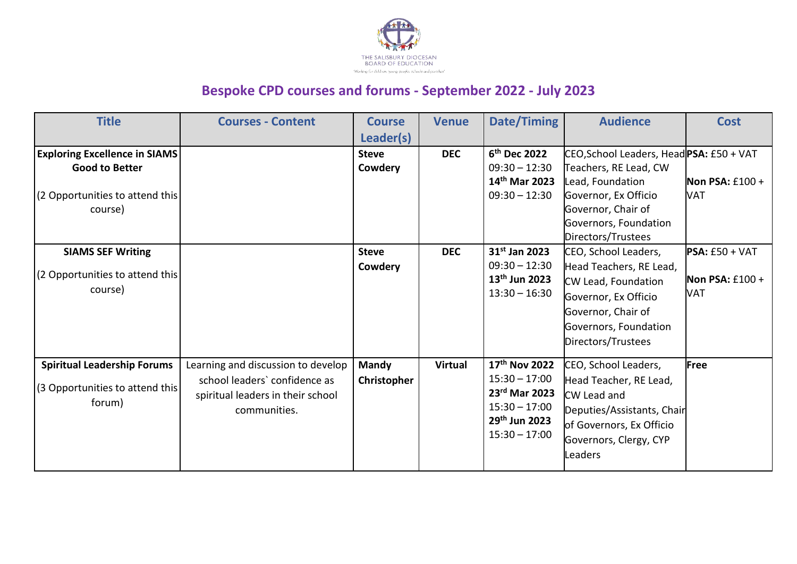

## **Bespoke CPD courses and forums - September 2022 - July 2023**

| <b>Title</b>                                                                                                | <b>Courses - Content</b>                                                                                                 | <b>Course</b><br>Leader(s)  | <b>Venue</b>   | Date/Timing                                                                                                          | <b>Audience</b>                                                                                                                                                                    | <b>Cost</b>                                  |
|-------------------------------------------------------------------------------------------------------------|--------------------------------------------------------------------------------------------------------------------------|-----------------------------|----------------|----------------------------------------------------------------------------------------------------------------------|------------------------------------------------------------------------------------------------------------------------------------------------------------------------------------|----------------------------------------------|
| <b>Exploring Excellence in SIAMS</b><br><b>Good to Better</b><br>(2 Opportunities to attend this<br>course) |                                                                                                                          | <b>Steve</b><br>Cowdery     | <b>DEC</b>     | 6 <sup>th</sup> Dec 2022<br>$09:30 - 12:30$<br>14th Mar 2023<br>$09:30 - 12:30$                                      | CEO, School Leaders, Head PSA: £50 + VAT<br>Teachers, RE Lead, CW<br>Lead, Foundation<br>Governor, Ex Officio<br>Governor, Chair of<br>Governors, Foundation<br>Directors/Trustees | Non PSA: $£100 +$<br>VAT                     |
| <b>SIAMS SEF Writing</b><br>(2 Opportunities to attend this<br>course)                                      |                                                                                                                          | <b>Steve</b><br>Cowdery     | <b>DEC</b>     | 31 <sup>st</sup> Jan 2023<br>$09:30 - 12:30$<br>13 <sup>th</sup> Jun 2023<br>$13:30 - 16:30$                         | CEO, School Leaders,<br>Head Teachers, RE Lead,<br>CW Lead, Foundation<br>Governor, Ex Officio<br>Governor, Chair of<br>Governors, Foundation<br>Directors/Trustees                | $PSA: E50 + VAT$<br>Non PSA: $£100 +$<br>VAT |
| <b>Spiritual Leadership Forums</b><br>(3 Opportunities to attend this<br>forum)                             | Learning and discussion to develop<br>school leaders' confidence as<br>spiritual leaders in their school<br>communities. | <b>Mandy</b><br>Christopher | <b>Virtual</b> | 17 <sup>th</sup> Nov 2022<br>$15:30 - 17:00$<br>23rd Mar 2023<br>$15:30 - 17:00$<br>29th Jun 2023<br>$15:30 - 17:00$ | CEO, School Leaders,<br>Head Teacher, RE Lead,<br><b>CW Lead and</b><br>Deputies/Assistants, Chair<br>of Governors, Ex Officio<br>Governors, Clergy, CYP<br>Leaders                | Free                                         |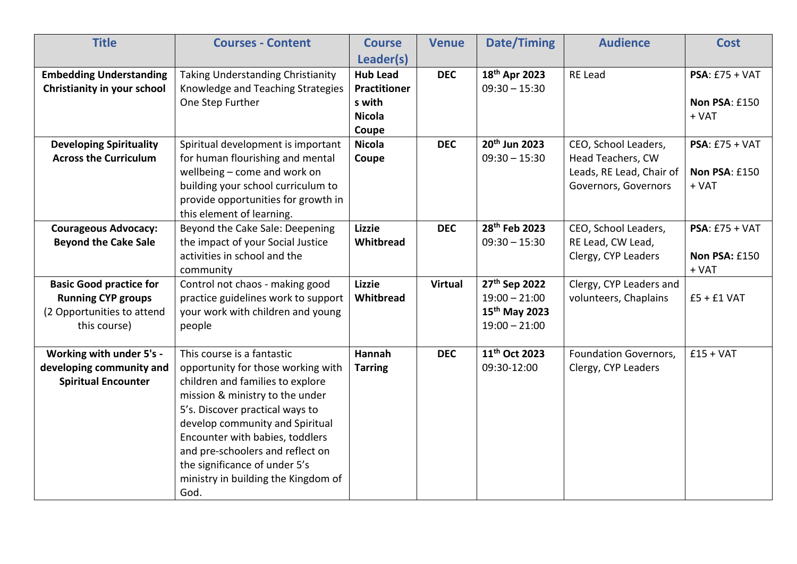| <b>Title</b>                                                                                              | <b>Courses - Content</b>                                                                                                                                                                                                                                                                                                                                             | <b>Course</b>                                                                           | <b>Venue</b>   | <b>Date/Timing</b>                                                                           | <b>Audience</b>                                                                               | <b>Cost</b>                                  |
|-----------------------------------------------------------------------------------------------------------|----------------------------------------------------------------------------------------------------------------------------------------------------------------------------------------------------------------------------------------------------------------------------------------------------------------------------------------------------------------------|-----------------------------------------------------------------------------------------|----------------|----------------------------------------------------------------------------------------------|-----------------------------------------------------------------------------------------------|----------------------------------------------|
| <b>Embedding Understanding</b><br>Christianity in your school                                             | <b>Taking Understanding Christianity</b><br>Knowledge and Teaching Strategies<br>One Step Further                                                                                                                                                                                                                                                                    | Leader(s)<br><b>Hub Lead</b><br><b>Practitioner</b><br>s with<br><b>Nicola</b><br>Coupe | <b>DEC</b>     | 18th Apr 2023<br>$09:30 - 15:30$                                                             | <b>RE Lead</b>                                                                                | $PSA: E75 + VAT$<br>Non PSA: £150<br>$+ VAT$ |
| <b>Developing Spirituality</b><br><b>Across the Curriculum</b>                                            | Spiritual development is important<br>for human flourishing and mental<br>wellbeing - come and work on<br>building your school curriculum to<br>provide opportunities for growth in<br>this element of learning.                                                                                                                                                     | <b>Nicola</b><br>Coupe                                                                  | <b>DEC</b>     | 20th Jun 2023<br>$09:30 - 15:30$                                                             | CEO, School Leaders,<br>Head Teachers, CW<br>Leads, RE Lead, Chair of<br>Governors, Governors | $PSA: E75 + VAT$<br>Non PSA: £150<br>+ VAT   |
| <b>Courageous Advocacy:</b><br><b>Beyond the Cake Sale</b>                                                | Beyond the Cake Sale: Deepening<br>the impact of your Social Justice<br>activities in school and the<br>community                                                                                                                                                                                                                                                    | <b>Lizzie</b><br>Whitbread                                                              | <b>DEC</b>     | 28 <sup>th</sup> Feb 2023<br>$09:30 - 15:30$                                                 | CEO, School Leaders,<br>RE Lead, CW Lead,<br>Clergy, CYP Leaders                              | $PSA: E75 + VAT$<br>Non PSA: £150<br>$+ VAT$ |
| <b>Basic Good practice for</b><br><b>Running CYP groups</b><br>(2 Opportunities to attend<br>this course) | Control not chaos - making good<br>practice guidelines work to support<br>your work with children and young<br>people                                                                                                                                                                                                                                                | <b>Lizzie</b><br>Whitbread                                                              | <b>Virtual</b> | 27 <sup>th</sup> Sep 2022<br>$19:00 - 21:00$<br>15 <sup>th</sup> May 2023<br>$19:00 - 21:00$ | Clergy, CYP Leaders and<br>volunteers, Chaplains                                              | $£5 + £1$ VAT                                |
| Working with under 5's -<br>developing community and<br><b>Spiritual Encounter</b>                        | This course is a fantastic<br>opportunity for those working with<br>children and families to explore<br>mission & ministry to the under<br>5's. Discover practical ways to<br>develop community and Spiritual<br>Encounter with babies, toddlers<br>and pre-schoolers and reflect on<br>the significance of under 5's<br>ministry in building the Kingdom of<br>God. | Hannah<br><b>Tarring</b>                                                                | <b>DEC</b>     | 11 <sup>th</sup> Oct 2023<br>09:30-12:00                                                     | Foundation Governors,<br>Clergy, CYP Leaders                                                  | $£15 + VAT$                                  |